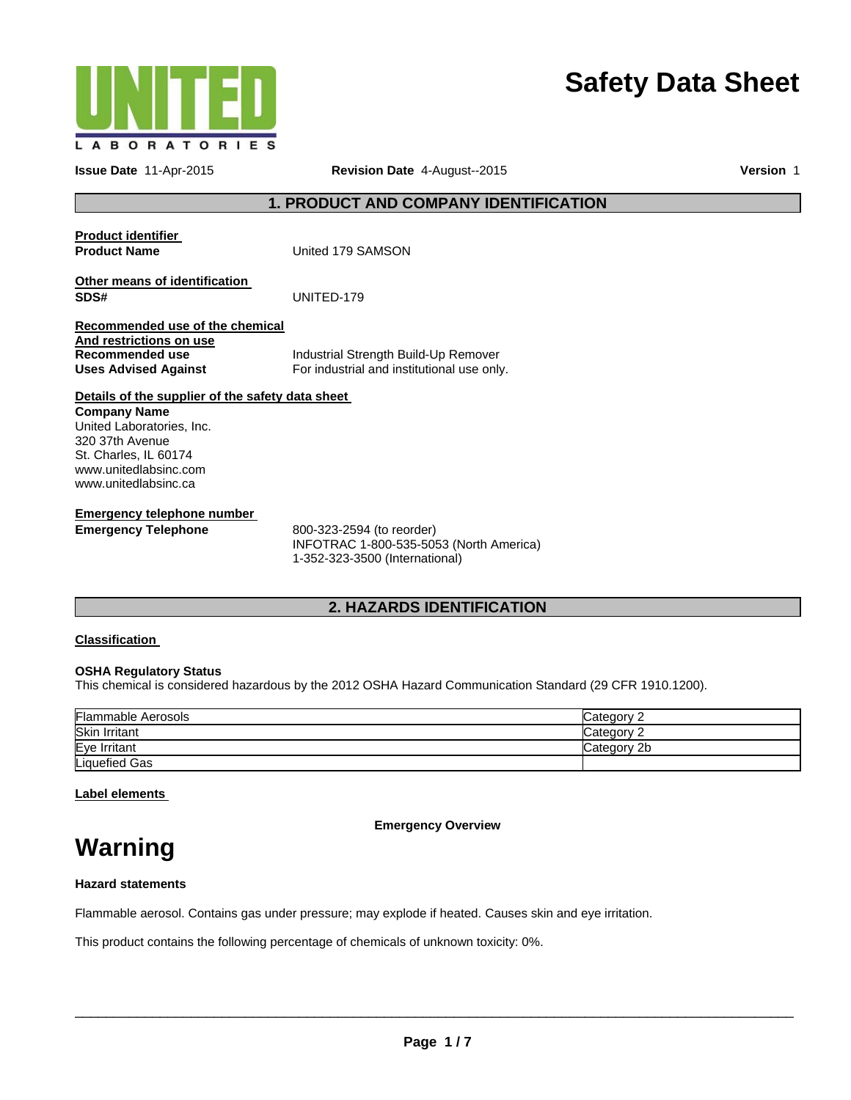

# **Safety Data Sheet**

**Issue Date** 11-Apr-2015 **Revision Date** 4-August--2015 **Version** 1

## **1. PRODUCT AND COMPANY IDENTIFICATION**

| <b>Product identifier</b><br><b>Product Name</b>                                                             | United 179 SAMSON                                                                  |
|--------------------------------------------------------------------------------------------------------------|------------------------------------------------------------------------------------|
| Other means of identification<br>SDS#                                                                        | UNITED-179                                                                         |
| Recommended use of the chemical<br>And restrictions on use<br>Recommended use<br><b>Uses Advised Against</b> | Industrial Strength Build-Up Remover<br>For industrial and institutional use only. |
| Details of the supplier of the safety data sheet<br><b>Company Name</b><br>United Laboratories, Inc.         |                                                                                    |
| 320 37th Avenue<br>St. Charles, IL 60174<br>www.unitedlabsinc.com<br>www.unitedlabsinc.ca                    |                                                                                    |
| Emergency telephone number                                                                                   |                                                                                    |

**Emergency Telephone** 800-323-2594 (to reorder) INFOTRAC 1-800-535-5053 (North America) 1-352-323-3500 (International)

# **2. HAZARDS IDENTIFICATION**

#### **Classification**

#### **OSHA Regulatory Status**

This chemical is considered hazardous by the 2012 OSHA Hazard Communication Standard (29 CFR 1910.1200).

| <b>Flammable Aerosols</b> | Category 2  |
|---------------------------|-------------|
| <b>Skin Irritant</b>      | Category 2  |
| Eye Irritant              | Category 2b |
| Liquefied Gas             |             |

## **Label elements**

**Emergency Overview** 

# **Warning**

#### **Hazard statements**

Flammable aerosol. Contains gas under pressure; may explode if heated. Causes skin and eye irritation.

This product contains the following percentage of chemicals of unknown toxicity: 0%.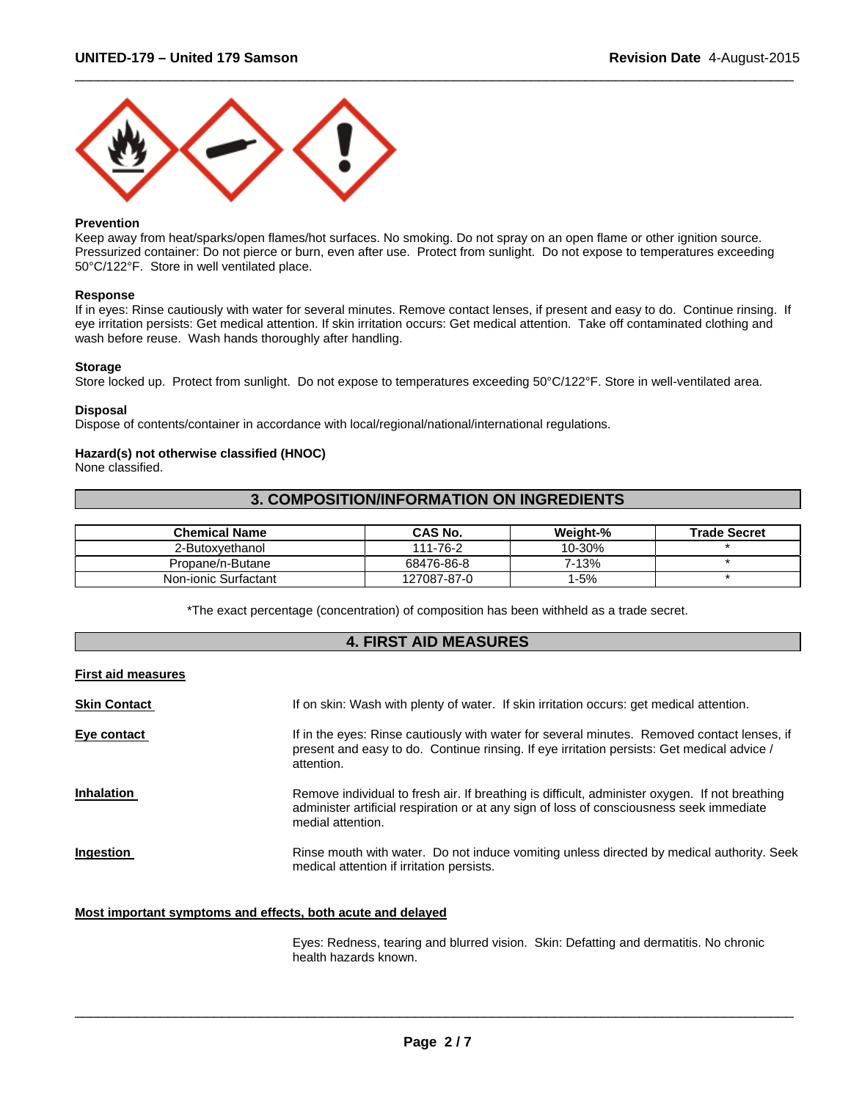

#### **Prevention**

Keep away from heat/sparks/open flames/hot surfaces. No smoking. Do not spray on an open flame or other ignition source. Pressurized container: Do not pierce or burn, even after use. Protect from sunlight. Do not expose to temperatures exceeding 50°C/122°F. Store in well ventilated place.

 $\Box$ 

#### **Response**

If in eyes: Rinse cautiously with water for several minutes. Remove contact lenses, if present and easy to do. Continue rinsing. If eye irritation persists: Get medical attention. If skin irritation occurs: Get medical attention. Take off contaminated clothing and wash before reuse. Wash hands thoroughly after handling.

#### **Storage**

Store locked up. Protect from sunlight. Do not expose to temperatures exceeding 50°C/122°F. Store in well-ventilated area.

#### **Disposal**

Dispose of contents/container in accordance with local/regional/national/international regulations.

#### **Hazard(s) not otherwise classified (HNOC)**

None classified.

# **3. COMPOSITION/INFORMATION ON INGREDIENTS**

| <b>Chemical Name</b> | CAS No.     | Weight-% | <b>Trade Secret</b> |
|----------------------|-------------|----------|---------------------|
| 2-Butoxvethanol      | 111-76-2    | 10-30%   |                     |
| Propane/n-Butane     | 68476-86-8  | 7-13%    |                     |
| Non-ionic Surfactant | 127087-87-0 | $-5%$    |                     |

\*The exact percentage (concentration) of composition has been withheld as a trade secret.

#### **4. FIRST AID MEASURES**

|  |  |  | <b>First aid measures</b> |
|--|--|--|---------------------------|
|--|--|--|---------------------------|

| <b>Skin Contact</b> | If on skin: Wash with plenty of water. If skin irritation occurs: get medical attention.                                                                                                                        |
|---------------------|-----------------------------------------------------------------------------------------------------------------------------------------------------------------------------------------------------------------|
| Eye contact         | If in the eyes: Rinse cautiously with water for several minutes. Removed contact lenses, if<br>present and easy to do. Continue rinsing. If eye irritation persists: Get medical advice /<br>attention.         |
| <b>Inhalation</b>   | Remove individual to fresh air. If breathing is difficult, administer oxygen. If not breathing<br>administer artificial respiration or at any sign of loss of consciousness seek immediate<br>medial attention. |
| <b>Ingestion</b>    | Rinse mouth with water. Do not induce vomiting unless directed by medical authority. Seek<br>medical attention if irritation persists.                                                                          |

#### **Most important symptoms and effects, both acute and delayed**

Eyes: Redness, tearing and blurred vision. Skin: Defatting and dermatitis. No chronic health hazards known.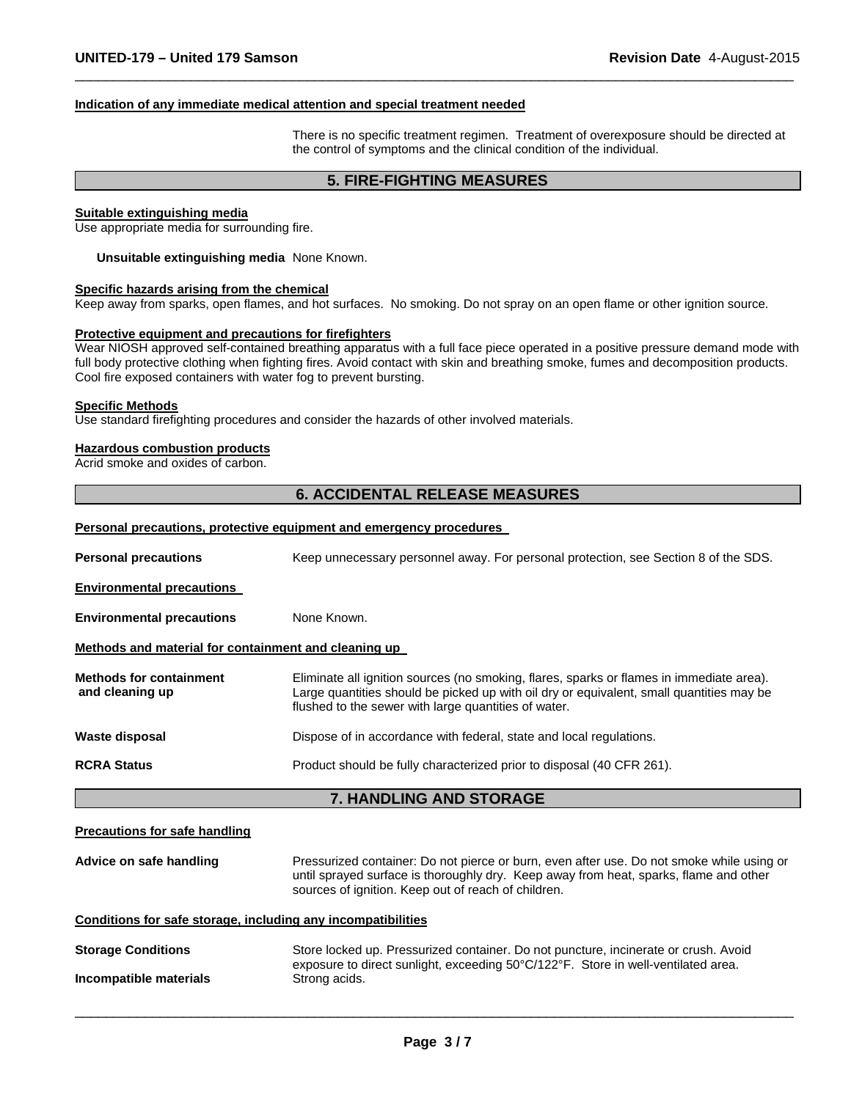#### **Indication of any immediate medical attention and special treatment needed**

There is no specific treatment regimen. Treatment of overexposure should be directed at the control of symptoms and the clinical condition of the individual.

#### **5. FIRE-FIGHTING MEASURES**

 $\Box$ 

#### **Suitable extinguishing media**

Use appropriate media for surrounding fire.

**Unsuitable extinguishing media** None Known.

#### **Specific hazards arising from the chemical**

Keep away from sparks, open flames, and hot surfaces. No smoking. Do not spray on an open flame or other ignition source.

#### **Protective equipment and precautions for firefighters**

Wear NIOSH approved self-contained breathing apparatus with a full face piece operated in a positive pressure demand mode with full body protective clothing when fighting fires. Avoid contact with skin and breathing smoke, fumes and decomposition products. Cool fire exposed containers with water fog to prevent bursting.

#### **Specific Methods**

Use standard firefighting procedures and consider the hazards of other involved materials.

#### **Hazardous combustion products**

Acrid smoke and oxides of carbon.

#### **6. ACCIDENTAL RELEASE MEASURES**

#### **Personal precautions, protective equipment and emergency procedures**

| <b>Personal precautions</b>                                  | Keep unnecessary personnel away. For personal protection, see Section 8 of the SDS.                                                                                                                                                          |  |  |
|--------------------------------------------------------------|----------------------------------------------------------------------------------------------------------------------------------------------------------------------------------------------------------------------------------------------|--|--|
| <b>Environmental precautions</b>                             |                                                                                                                                                                                                                                              |  |  |
| <b>Environmental precautions</b>                             | None Known.                                                                                                                                                                                                                                  |  |  |
| Methods and material for containment and cleaning up         |                                                                                                                                                                                                                                              |  |  |
| <b>Methods for containment</b><br>and cleaning up            | Eliminate all ignition sources (no smoking, flares, sparks or flames in immediate area).<br>Large quantities should be picked up with oil dry or equivalent, small quantities may be<br>flushed to the sewer with large quantities of water. |  |  |
| <b>Waste disposal</b>                                        | Dispose of in accordance with federal, state and local regulations.                                                                                                                                                                          |  |  |
| <b>RCRA Status</b>                                           | Product should be fully characterized prior to disposal (40 CFR 261).                                                                                                                                                                        |  |  |
|                                                              |                                                                                                                                                                                                                                              |  |  |
|                                                              | 7. HANDLING AND STORAGE                                                                                                                                                                                                                      |  |  |
| <b>Precautions for safe handling</b>                         |                                                                                                                                                                                                                                              |  |  |
| Advice on safe handling                                      | Pressurized container: Do not pierce or burn, even after use. Do not smoke while using or<br>until sprayed surface is thoroughly dry. Keep away from heat, sparks, flame and other<br>sources of ignition. Keep out of reach of children.    |  |  |
| Conditions for safe storage, including any incompatibilities |                                                                                                                                                                                                                                              |  |  |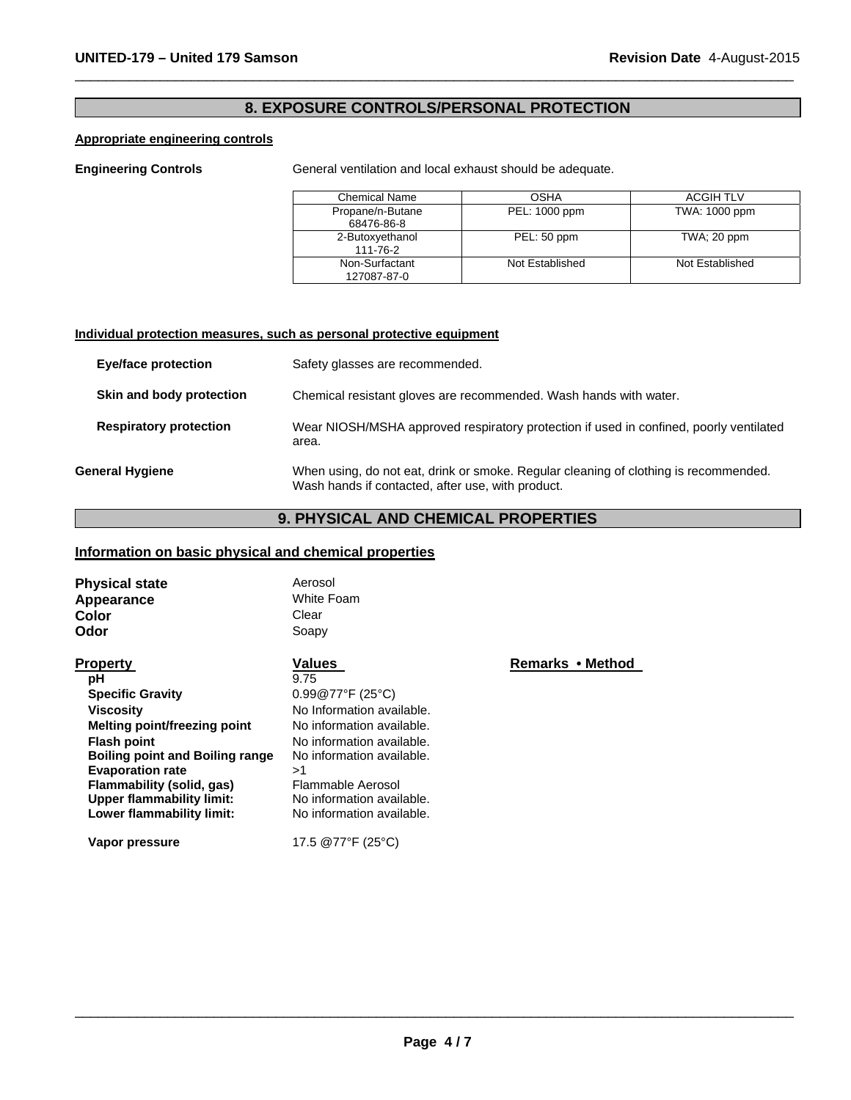# **8. EXPOSURE CONTROLS/PERSONAL PROTECTION**

 $\Box$ 

# **Appropriate engineering controls**

**Engineering Controls General ventilation and local exhaust should be adequate.** 

| <b>Chemical Name</b>           | OSHA            | <b>ACGIH TLV</b> |
|--------------------------------|-----------------|------------------|
| Propane/n-Butane<br>68476-86-8 | PEL: 1000 ppm   | TWA: 1000 ppm    |
| 2-Butoxyethanol<br>111-76-2    | PEL: 50 ppm     | $TWA$ ; 20 ppm   |
| Non-Surfactant<br>127087-87-0  | Not Established | Not Established  |

#### **Individual protection measures, such as personal protective equipment**

| Eye/face protection           | Safety glasses are recommended.                                                                                                           |
|-------------------------------|-------------------------------------------------------------------------------------------------------------------------------------------|
| Skin and body protection      | Chemical resistant gloves are recommended. Wash hands with water.                                                                         |
| <b>Respiratory protection</b> | Wear NIOSH/MSHA approved respiratory protection if used in confined, poorly ventilated<br>area.                                           |
| <b>General Hygiene</b>        | When using, do not eat, drink or smoke. Regular cleaning of clothing is recommended.<br>Wash hands if contacted, after use, with product. |

# **9. PHYSICAL AND CHEMICAL PROPERTIES**

# **Information on basic physical and chemical properties**

| <b>Physical state</b><br>Appearance<br>Color<br>Odor | Aerosol<br>White Foam<br>Clear<br>Soapy |                  |
|------------------------------------------------------|-----------------------------------------|------------------|
| <b>Property</b>                                      | Values                                  | Remarks • Method |
| рH                                                   | 9.75                                    |                  |
| <b>Specific Gravity</b>                              | $0.99@77^{\circ}F(25^{\circ}C)$         |                  |
| <b>Viscosity</b>                                     | No Information available.               |                  |
| Melting point/freezing point                         | No information available.               |                  |
| <b>Flash point</b>                                   | No information available.               |                  |
| <b>Boiling point and Boiling range</b>               | No information available.               |                  |
| <b>Evaporation rate</b>                              | >1                                      |                  |
| Flammability (solid, gas)                            | Flammable Aerosol                       |                  |
| Upper flammability limit:                            | No information available.               |                  |
| Lower flammability limit:                            | No information available.               |                  |
| Vapor pressure                                       | 17.5 @77°F (25°C)                       |                  |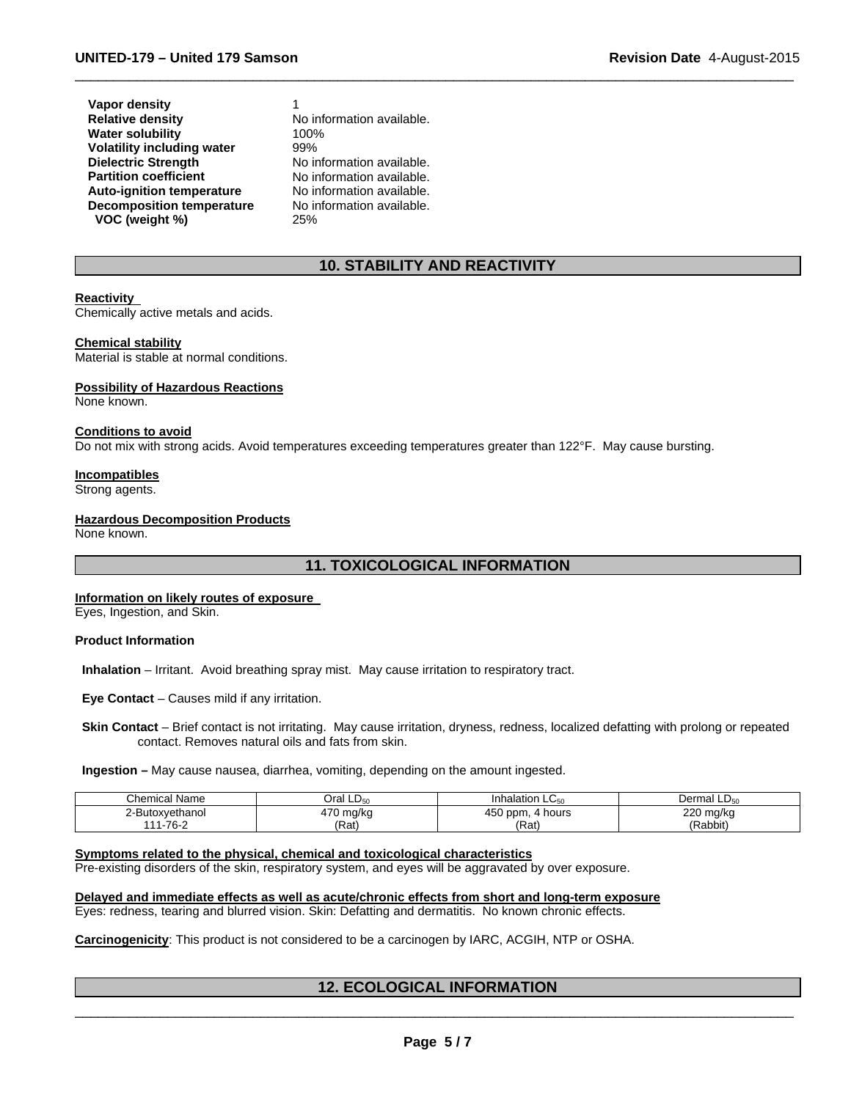| <b>Vapor density</b>              |
|-----------------------------------|
| <b>Relative density</b>           |
| <b>Water solubility</b>           |
| <b>Volatility including water</b> |
| <b>Dielectric Strength</b>        |
| <b>Partition coefficient</b>      |
| <b>Auto-ignition temperature</b>  |
| <b>Decomposition temperature</b>  |
| VOC (weight %)                    |

1 No information available. 100% 99% No information available. No information available. No information available. No information available. 25%

# **10. STABILITY AND REACTIVITY**

 $\Box$ 

#### **Reactivity**

Chemically active metals and acids.

#### **Chemical stability**

Material is stable at normal conditions.

#### **Possibility of Hazardous Reactions**

None known.

#### **Conditions to avoid**

Do not mix with strong acids. Avoid temperatures exceeding temperatures greater than 122°F. May cause bursting.

#### **Incompatibles**

Strong agents.

#### **Hazardous Decomposition Products**

None known.

# **11. TOXICOLOGICAL INFORMATION**

#### **Information on likely routes of exposure**

Eyes, Ingestion, and Skin.

#### **Product Information**

**Inhalation** – Irritant. Avoid breathing spray mist. May cause irritation to respiratory tract.

**Eye Contact** – Causes mild if any irritation.

 **Skin Contact** – Brief contact is not irritating. May cause irritation, dryness, redness, localized defatting with prolong or repeated contact. Removes natural oils and fats from skin.

**Ingestion –** May cause nausea, diarrhea, vomiting, depending on the amount ingested.

| <b>Chemical Name</b>         | Oral $LD_{50}$        | Inhalation $LC_{50}$     | Dermal $LD_{50}$                              |
|------------------------------|-----------------------|--------------------------|-----------------------------------------------|
| ?-Butoxvethanol              | 170<br>∣ mg/ka<br>. . | $- -$<br>ppm.<br>4 hours | つつへ<br>mg/kg<br>$-20$<br>-<br>$\cdot$ $\cdot$ |
| $1 - 76 -$<br>$\overline{A}$ | 'Rat)                 | (Rat)                    | (Rabbit)                                      |

#### **Symptoms related to the physical, chemical and toxicological characteristics**

Pre-existing disorders of the skin, respiratory system, and eyes will be aggravated by over exposure.

#### **Delayed and immediate effects as well as acute/chronic effects from short and long-term exposure**

Eyes: redness, tearing and blurred vision. Skin: Defatting and dermatitis. No known chronic effects.

**Carcinogenicity**: This product is not considered to be a carcinogen by IARC, ACGIH, NTP or OSHA.

# $\Box$ **12. ECOLOGICAL INFORMATION**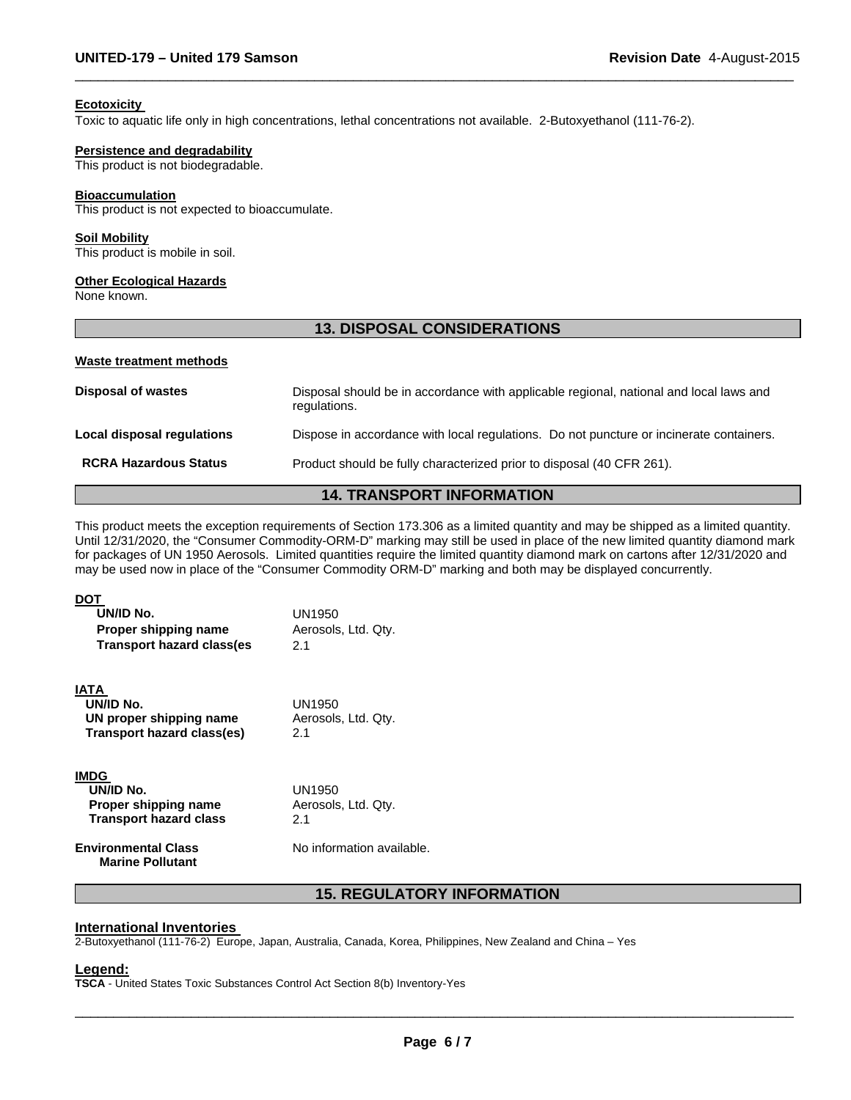#### **Ecotoxicity**

Toxic to aquatic life only in high concentrations, lethal concentrations not available. 2-Butoxyethanol (111-76-2).

#### **Persistence and degradability**

This product is not biodegradable.

#### **Bioaccumulation**

This product is not expected to bioaccumulate.

#### **Soil Mobility**

This product is mobile in soil.

#### **Other Ecological Hazards**

None known.

### **13. DISPOSAL CONSIDERATIONS**

 $\Box$ 

#### **Waste treatment methods**

| <b>Disposal of wastes</b>    | Disposal should be in accordance with applicable regional, national and local laws and<br>regulations. |
|------------------------------|--------------------------------------------------------------------------------------------------------|
| Local disposal regulations   | Dispose in accordance with local requiations. Do not puncture or incinerate containers.                |
| <b>RCRA Hazardous Status</b> | Product should be fully characterized prior to disposal (40 CFR 261).                                  |
|                              |                                                                                                        |

### **14. TRANSPORT INFORMATION**

This product meets the exception requirements of Section 173.306 as a limited quantity and may be shipped as a limited quantity. Until 12/31/2020, the "Consumer Commodity-ORM-D" marking may still be used in place of the new limited quantity diamond mark for packages of UN 1950 Aerosols. Limited quantities require the limited quantity diamond mark on cartons after 12/31/2020 and may be used now in place of the "Consumer Commodity ORM-D" marking and both may be displayed concurrently.

#### **DOT UN/ID No.** UN1950 **Proper shipping name Aerosols, Ltd. Qty. Transport hazard class(es** 2.1 **IATA UN/ID No. UN proper shipping name Transport hazard class(es)**  UN1950 Aerosols, Ltd. Qty. 2.1 **IMDG**

| -----                         |  |
|-------------------------------|--|
| UN/ID No.                     |  |
| Proper shipping name          |  |
| <b>Transport hazard class</b> |  |
|                               |  |
| Each and a control. Also a    |  |

UN1950 Aerosols, Ltd. Qty. 2.1

**Environmental Class Marine Pollutant**  No information available.

# **15. REGULATORY INFORMATION**

#### **International Inventories**

2-Butoxyethanol (111-76-2) Europe, Japan, Australia, Canada, Korea, Philippines, New Zealand and China – Yes

#### **Legend:**

**TSCA** - United States Toxic Substances Control Act Section 8(b) Inventory-Yes